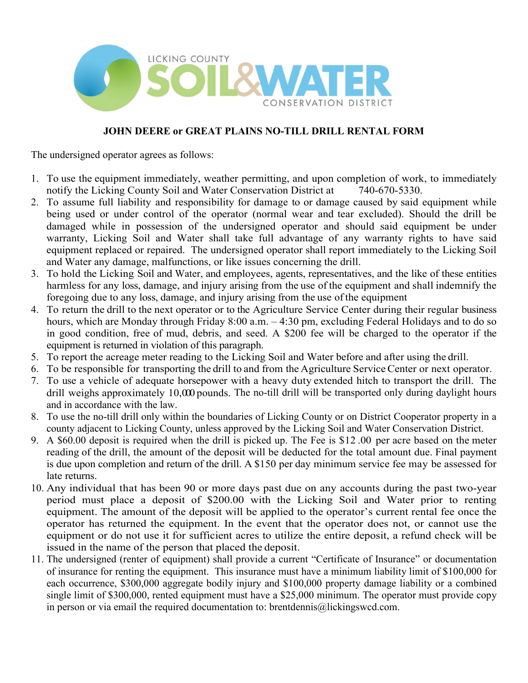

## **JOHN DEERE or GREAT PLAINS NO-TILL DRILL RENTAL FORM**

The undersigned operator agrees as follows:

- 1. To use the equipment immediately, weather permitting, and upon completion of work, to immediately notify the Licking County Soil and Water Conservation District at 740-670-5330.
- 2. To assume full liability and responsibility for damage to or damage caused by said equipment while being used or under control of the operator (normal wear and tear excluded). Should the drill be damaged while in possession of the undersigned operator and should said equipment be under warranty, Licking Soil and Water shall take full advantage of any warranty rights to have said equipment replaced or repaired. The undersigned operator shall report immediately to the Licking Soil and Water any damage, malfunctions, or like issues concerning the drill.
- 3. To hold the Licking Soil and Water, and employees, agents, representatives, and the like of these entities harmless for any loss, damage, and injury arising from the use of the equipment and shall indemnify the foregoing due to any loss, damage, and injury arising from the use ofthe equipment
- 4. To return the drill to the next operator or to the Agriculture Service Center during their regular business hours, which are Monday through Friday 8:00 a.m. - 4:30 pm, excluding Federal Holidays and to do so in good condition, free of mud, debris, and seed. A \$200 fee will be charged to the operator if the equipment is returned in violation of this paragraph.
- 5. To report the acreage meter reading to the Licking Soil and Water before and after using the drill.
- 6. To be responsible for transporting the drill to and from the Agriculture ServiceCenter or next operator.
- 7. To use a vehicle of adequate horsepower with a heavy duty extended hitch to transport the drill. The drill weighs approximately 10,000 pounds. The no-till drill will be transported only during daylight hours and in accordance with the law.
- 8. To use the no-till drill only within the boundaries of Licking County or on District Cooperator property in a county adjacent to Licking County, unless approved by the Licking Soil and Water Conservation District.
- 9. A \$60.00 deposit is required when the drill is picked up. The Fee is \$12 .00 per acre based on the meter reading of the drill, the amount of the deposit will be deducted for the total amount due. Final payment is due upon completion and return of the drill. A \$150 per day minimum service fee may be assessed for late returns.
- 10. Any individual that has been 90 or more days past due on any accounts during the past two-year period must place a deposit of \$200.00 with the Licking Soil and Water prior to renting equipment. The amount of the deposit will be applied to the operator's current rental fee once the operator has returned the equipment. In the event that the operator does not, or cannot use the equipment or do not use it for sufficient acres to utilize the entire deposit, a refund check will be issued in the name of the person that placed the deposit.
- 11. The undersigned (renter of equipment) shall provide a current "Certificate of Insurance" or documentation of insurance for renting the equipment. This insurance must have a minimum liability limit of \$100,000 for each occurrence, \$300,000 aggregate bodily injury and \$100,000 property damage liability or a combined single limit of \$300,000, rented equipment must have a \$25,000 minimum. The operator must provide copy in person or via email the required documentation to: brentdennis@lickingswcd.com.